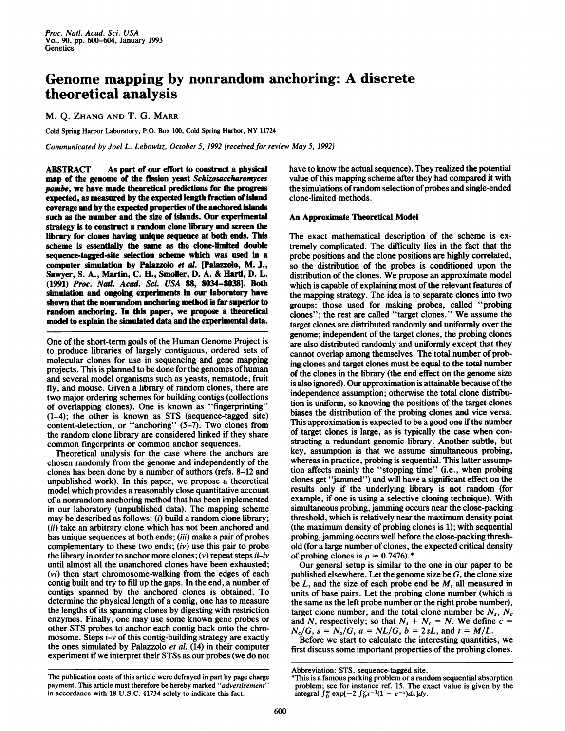## Genome mapping by nonrandom anchoring: A discrete theoretical analysis

M. Q. ZHANG AND T. G. MARR

Cold Spring Harbor Laboratory, P.O. Box 100, Cold Spring Harbor, NY <sup>11724</sup>

Communicated by Joel L. Lebowitz, October 5, 1992 (received for review May 5, 1992)

ABSTRACT As part of our effort to construct a physical map of the genome of the fission yeast Schizosaccharomyces pombe, we have made theoretical predictions for the progress expected, as measured by the expected length fraction of island coverage and by the expected properties of the anchored islands such as the number and the size of islands. Our experimental strategy is to construct a random clone library and screen the library for clones having unique sequence at both ends. This scheme is essentially the same as the clone-limited double sequence-tagged-site selection scheme which was used in a computer simulation by Palazzolo et al. [Palazzolo, M. J., Sawyer, S. A., Martin, C. H., Smoller, D. A. & Hartd, D. L. (1991) Proc. Nail. Acad. Sci. USA 88, 8034-8038]. Both simulation and ongoing experiments in our laboratory have shown that the nonrandom anchoring method is far superior to random anchoring. In this paper, we propose a theoretical model to explain the simulated data and the experimental data.

One of the short-term goals of the Human Genome Project is to produce libraries of largely contiguous, ordered sets of molecular clones for use in sequencing and gene mapping projects. This is planned to be done for the genomes ofhuman and several model organisms such as yeasts, nematode, fruit fly, and mouse. Given a library of random clones, there are two major ordering schemes for building contigs (collections of overlapping clones). One is known as "fingerprinting" (1-4); the other is known as STS (sequence-tagged site) content-detection, or "anchoring" (5-7). Two clones from the random clone library are considered linked if they share common fingerprints or common anchor sequences.

Theoretical analysis for the case where the anchors are chosen randomly from the genome and independently of the clones has been done by a number of authors (refs. 8-12 and unpublished work). In this paper, we propose a theoretical model which provides a reasonably close quantitative account of a nonrandom anchoring method that has been implemented in our laboratory (unpublished data). The mapping scheme may be described as follows: (i) build a random clone library; (ii) take an arbitrary clone which has not been anchored and has unique sequences at both ends; (iii) make a pair of probes complementary to these two ends;  $(iv)$  use this pair to probe the library in order to anchor more clones;  $(v)$  repeat steps *ii-iv* until almost all the unanchored clones have been exhausted; (vi) then start chromosome-walking from the edges of each contig built and try to fill up the gaps. In the end, a number of contigs spanned by the anchored clones is obtained. To determine the physical length of a contig, one has to measure the lengths of its spanning clones by digesting with restriction enzymes. Finally, one may use some known gene probes or other STS probes to anchor each contig back onto the chromosome. Steps  $\mathbf{i}-\mathbf{v}$  of this contig-building strategy are exactly the ones simulated by Palazzolo et al. (14) in their computer experiment if we interpret their STSs as our probes (we do not have to know the actual sequence). They realized the potential value of this mapping scheme after they had compared it with the simulations of random selection of probes and single-ended clone-limited methods.

## An Approximate Theoretical Model

The exact mathematical description of the scheme is extremely complicated. The difficulty lies in the fact that the probe positions and the clone positions are highly correlated, so the distribution of the probes is conditioned upon the distribution of the clones. We propose an approximate model which is capable of explaining most of the relevant features of the mapping strategy. The idea is to separate clones into two groups: those used for making probes, called "probing clones"; the rest are called "target clones." We assume the target clones are distributed randomly and uniformly over the genome; independent of the target clones, the probing clones are also distributed randomly and uniformly except that they cannot overlap among themselves. The total number of probing clones and target clones must be equal to the total number of the clones in the library (the end effect on the genome size is also ignored). Our approximation is attainable because of the independence assumption; otherwise the total clone distribution is uniform, so knowing the positions of the target clones biases the distribution of the probing clones and vice versa. This approximation is expected to be a good one if the number of target clones is large, as is typically the case when constructing a redundant genomic library. Another subtle, but key, assumption is that we assume simultaneous probing, whereas in practice, probing is sequential. This latter assumption affects mainly the "stopping time" (i.e., when probing clones get "jammed") and will have a significant effect on the results only if the underlying library is not random (for example, if one is using a selective cloning technique). With simultaneous probing, jamming occurs near the close-packing threshold, which is relatively near the maximum density point (the maximum density of probing clones is 1); with sequential probing, jamming occurs well before the close-packing threshold (for a large number of clones, the expected critical density of probing clones is  $\rho \approx 0.7476$ .\*

Our general setup is similar to the one in our paper to be published elsewhere. Let the genome size be  $G$ , the clone size be  $L$ , and the size of each probe end be  $M$ , all measured in units of base pairs. Let the probing clone number (which is the same as the left probe number or the right probe number), target clone number, and the total clone number be  $N_s$ ,  $N_c$ and N, respectively; so that  $N_s + N_c = N$ . We define  $c =$  $N_c/G$ ,  $s = N_s/G$ ,  $a = NL/G$ ,  $b = 2sL$ , and  $t = M/L$ .

Before we start to calculate the interesting quantities, we first discuss some important properties of the probing clones.

Abbreviation: STS, sequence-tagged site.

The publication costs of this article were defrayed in part by page charge payment. This article must therefore be hereby marked "advertisement" in accordance with 18 U.S.C. §1734 solely to indicate this fact.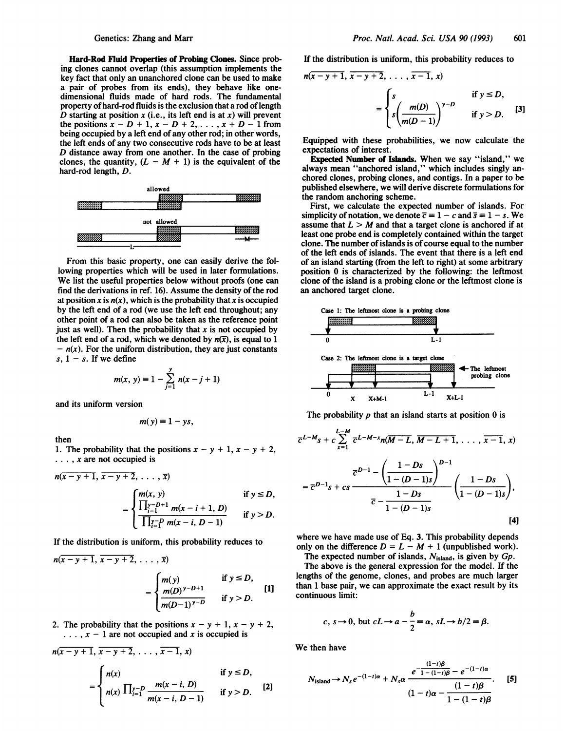Hard-Rod Fluid Properties of Probing Clones. Since probing clones cannot overlap (this assumption implements the key fact that only an unanchored clone can be used to make a pair of probes from its ends), they behave like onedimensional fluids made of hard rods. The fundamental property of hard-rod fluids is the exclusion that a rod of length D starting at position  $x$  (i.e., its left end is at  $x$ ) will prevent the positions  $x - D + 1$ ,  $x - D + 2$ , ...,  $x + D - 1$  from being occupied by a left end of any other rod; in other words, the left ends of any two consecutive rods have to be at least D distance away from one another. In the case of probing clones, the quantity,  $(L - M + 1)$  is the equivalent of the hard-rod length, D.



From this basic property, one can easily derive the following properties which will be used in later formulations. We list the useful properties below without proofs (one can find the derivations in ref. 16). Assume the density of the rod at position x is  $n(x)$ , which is the probability that x is occupied by the left end of a rod (we use the left end throughout; any other point of a rod can also be taken as the reference point just as well). Then the probability that  $x$  is not occupied by the left end of a rod, which we denoted by  $n(\bar{x})$ , is equal to 1  $- n(x)$ . For the uniform distribution, they are just constants  $s, 1 - s$ . If we define

$$
m(x, y) = 1 - \sum_{j=1}^{y} n(x - j + 1)
$$

and its uniform version

$$
m(y)\equiv 1-ys,
$$

then

1. The probability that the positions  $x - y + 1$ ,  $x - y + 2$ ,  $\ldots$ , x are not occupied is

$$
n(x - y + 1, x - y + 2, ..., x)
$$
  
= 
$$
\begin{cases} m(x, y) & \text{if } y \leq D, \\ \frac{\prod_{i=1}^{y} - D + 1}{\prod_{i=1}^{y} - p m(x - i, D - 1)} & \text{if } y > D. \end{cases}
$$

If the distribution is uniform, this probability reduces to

$$
n(x - y + 1, x - y + 2, ..., x)
$$
  
= 
$$
\begin{cases} m(y) & \text{if } y \le D, \\ m(D)^{y - D + 1} & \text{if } y > D. \end{cases}
$$
[1]

2. The probability that the positions  $x - y + 1$ ,  $x - y + 2$ ,  $\ldots$ ,  $x - 1$  are not occupied and x is occupied is

$$
n(x - y + 1, x - y + 2, ..., x - 1, x)
$$
  
= 
$$
\begin{cases} n(x) & \text{if } y \leq D, \\ n(x) \prod_{i=1}^{y-D} \frac{m(x - i, D)}{m(x - i, D - 1)} & \text{if } y > D. \end{cases}
$$
 [2]

If the distribution is uniform, this probability reduces to

$$
n(x - y + 1, x - y + 2, ..., x - 1, x)
$$
  
= 
$$
\begin{cases} s & \text{if } y \leq D, \\ s \left( \frac{m(D)}{m(D-1)} \right)^{y-D} & \text{if } y > D. \end{cases}
$$
 [3]

Equipped with these probabilities, we now calculate the expectations of interest.

Expected Number of Islands. When we say "island," we always mean "anchored island," which includes singly anchored clones, probing clones, and contigs. In a paper to be published elsewhere, we will derive discrete formulations for the random anchoring scheme.

First, we calculate the expected number of islands. For simplicity of notation, we denote  $\bar{c} = 1 - c$  and  $\bar{s} = 1 - s$ . We assume that  $L > M$  and that a target clone is anchored if at least one probe end is completely contained within the target clone. The number of islands is of course equal to the number of the left ends of islands. The event that there is a left end of an island starting (from the left to right) at some arbitrary position 0 is characterized by the following: the leftmost clone of the island is a probing clone or the leftmost clone is an anchored target clone.



The probability  $p$  that an island starts at position  $0$  is

$$
\overline{c}^{L-M} s + c \sum_{x=1}^{L-M} \overline{c}^{L-M-x} n(M-L, \overline{M-L+1}, \ldots, \overline{x-1}, x)
$$

$$
= \overline{c}^{D-1} s + c s \frac{\overline{c}^{D-1} - \left(\frac{1-Ds}{1-(D-1)s}\right)^{D-1}}{\overline{c} - \frac{1-Ds}{1-(D-1)s}} \left(\frac{1-Ds}{1-(D-1)s}\right),
$$
[4]

where we have made use of Eq. 3. This probability depends only on the difference  $D = L - M + 1$  (unpublished work).

The expected number of islands,  $N_{\text{island}}$ , is given by  $Gp$ . The above is the general expression for the model. If the lengths of the genome, clones, and probes are much larger than 1 base pair, we can approximate the exact result by its continuous limit:

2, 
$$
c, s \rightarrow 0
$$
, but  $cL \rightarrow a - \frac{b}{2} = \alpha$ ,  $sL \rightarrow b/2 = \beta$ .

We then have

$$
N_{\text{island}} \to N_s e^{-(1-t)\alpha} + N_s \alpha \frac{e^{-\frac{(1-t)\beta}{1-(1-t)\beta}} - e^{-(1-t)\alpha}}{(1-t)\alpha - \frac{(1-t)\beta}{1-(1-t)\beta}}.
$$
 [5]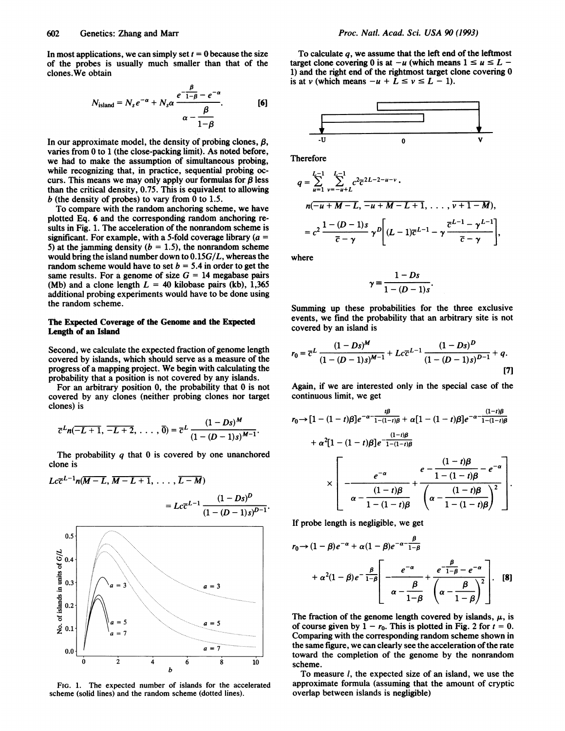In most applications, we can simply set  $t = 0$  because the size of the probes is usually much smaller than that of the clones.We obtain

$$
N_{\text{island}} = N_s e^{-\alpha} + N_s \alpha \frac{e^{-\frac{\beta}{1-\beta}} - e^{-\alpha}}{\alpha - \frac{\beta}{1-\beta}}.
$$
 [6]

In our approximate model, the density of probing clones,  $\beta$ , varies from 0 to <sup>1</sup> (the close-packing limit). As noted before, we had to make the assumption of simultaneous probing, while recognizing that, in practice, sequential probing occurs. This means we may only apply our formulas for  $\beta$  less than the critical density, 0.75. This is equivalent to allowing  $b$  (the density of probes) to vary from 0 to 1.5.

To compare with the random anchoring scheme, we have plotted Eq. 6 and the corresponding random anchoring results in Fig. 1. The acceleration of the nonrandom scheme is significant. For example, with a 5-fold coverage library ( $a =$ 5) at the jamming density ( $b = 1.5$ ), the nonrandom scheme would bring the island number down to  $0.15G/L$ , whereas the random scheme would have to set  $b = 5.4$  in order to get the same results. For a genome of size  $G = 14$  megabase pairs (Mb) and a clone length  $L = 40$  kilobase pairs (kb), 1,365 additional probing experiments would have to be done using the random scheme.

## The Expected Coverage of the Genome and the Expected Length of an Island

Second, we calculate the expected fraction of genome length covered by islands, which should serve as a measure of the progress of a mapping project. We begin with calculating the probability that a position is not covered by any islands.

For an arbitrary position 0, the probability that 0 is not covered by any clones (neither probing clones nor target clones) is an arbitrary position 0, the probability<br>d by any clones (neither probing clon<br>is<br> $\overline{-L+1}$ ,  $\overline{-L+2}$ , ...,  $\overline{0}$ ) =  $\overline{c}^L$   $\frac{(1 -$ <br> $\overline{(1 - (D$ 

$$
\overline{c}^{L}n(\overline{-L+1},\,\overline{-L+2},\,\ldots,\,\overline{0})=\overline{c}^{L}\,\frac{(1-Ds)^{M}}{(1-(D-1)s)^{M-1}}
$$

The probability  $q$  that  $\theta$  is covered by one unanchored clone is

$$
Lc\overline{c}^{L-1}n(\overline{M-L}, \overline{M-L+1}, \ldots, \overline{L-M})
$$
\n
$$
= Lc\overline{c}^{L-1} \frac{(1 - Ds)^D}{(1 - (D-1)s)^{D-1}}.
$$
\n
$$
\sum_{\substack{a=3 \text{ odd} \\ \overline{a} \text{ odd} \\ \overline{b} \text{ odd} \\ \overline{c} \text{ odd} \\ \overline{d} \text{ odd} \\ \overline{b} \text{ odd} \\ \overline{a} = 7
$$
\n
$$
\sum_{a=7}^{a=3} a = 5
$$
\n
$$
\sum_{a=7}^{a=7} a = 1
$$

To calculate  $q$ , we assume that the left end of the leftmost target clone covering 0 is at  $-u$  (which means  $1 \le u \le L -$ 1) and the right end of the rightmost target clone covering 0 is at v (which means  $-u + L \le v \le L - 1$ ).



Therefore

$$
q = \sum_{u=1}^{L-1} \sum_{v=-u+L}^{L-1} c^2 \overline{c}^{2L-2-u-v} \cdot
$$
  
\n
$$
n(-u+M-L, -u+M-L+1, \dots, v+1-M),
$$
  
\n
$$
= c^2 \frac{1-(D-1)s}{\overline{c}-\gamma} \gamma^D \left[ (L-1)\overline{c}^{L-1} - \gamma \frac{\overline{c}^{L-1}-\gamma^{L-1}}{\overline{c}-\gamma} \right],
$$

where

$$
\gamma \equiv \frac{1 - Ds}{1 - (D - 1)s}.
$$

Summing up these probabilities for the three exclusive events, we find the probability that an arbitrary site is not covered by an island is

$$
r_0 = \overline{c}^L \frac{(1 - Ds)^M}{(1 - (D - 1)s)^{M-1}} + Lc\overline{c}^{L-1} \frac{(1 - Ds)^D}{(1 - (D - 1)s)^{D-1}} + q.
$$
\n[7]

Again, if we are interested only in the special case of the continuous limit, we get

$$
r_0 \rightarrow [1 - (1 - t)\beta]e^{-\alpha - \frac{t\beta}{1 - (1 - t)\beta}} + \alpha[1 - (1 - t)\beta]e^{-\alpha - \frac{(1 - t)\beta}{1 - (1 - t)\beta}}
$$
  
+  $\alpha^2[1 - (1 - t)\beta]e^{-\frac{(1 - t)\beta}{1 - (1 - t)\beta}}$   

$$
\times \left[\frac{e^{-\alpha}}{\alpha - \frac{(1 - t)\beta}{1 - (1 - t)\beta}} + \frac{e^{-\frac{(1 - t)\beta}{1 - (1 - t)\beta}}e^{-\alpha}}{\left(\alpha - \frac{(1 - t)\beta}{1 - (1 - t)\beta}\right)^2}\right].
$$

If probe length is negligible, we get

$$
r_0 \rightarrow (1 - \beta)e^{-\alpha} + \alpha(1 - \beta)e^{-\alpha - \frac{\beta}{1 - \beta}}
$$
  
+  $\alpha^2(1 - \beta)e^{-\frac{\beta}{1 - \beta}}\left[\frac{e^{-\alpha}}{\alpha - \frac{\beta}{1 - \beta}} + \frac{e^{-\frac{\beta}{1 - \beta}} - e^{-\alpha}}{\alpha - \frac{\beta}{1 - \beta}}\right].$  [8]

The fraction of the genome length covered by islands,  $\mu$ , is of course given by  $1 - r_0$ . This is plotted in Fig. 2 for  $t = 0$ . Comparing with the corresponding random scheme shown in the same figure, we can clearly see the acceleration of the rate toward the completion of the genome by the nonrandom scheme.

To measure  $l$ , the expected size of an island, we use the approximate formula (assuming that the amount of cryptic overlap between islands is negligible)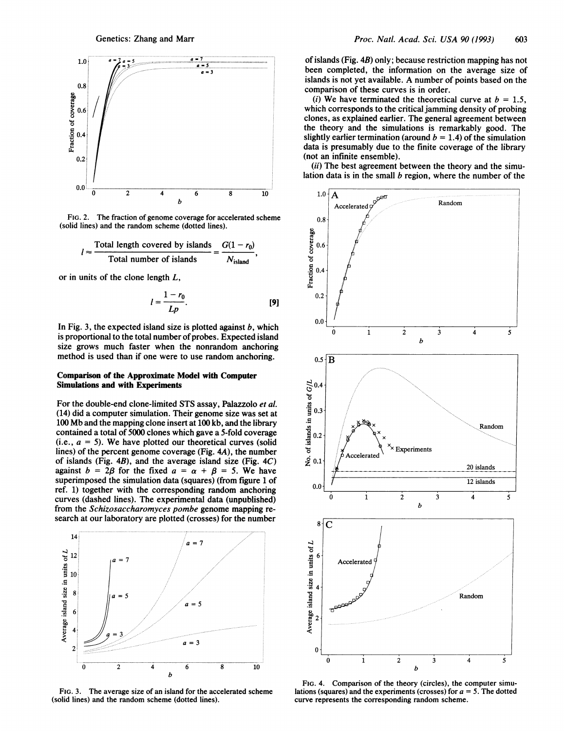

FIG. 2. The fraction of genome coverage for accelerated scheme (solid lines) and the random scheme (dotted lines).

$$
l \approx \frac{\text{Total length covered by islands}}{\text{Total number of islands}} = \frac{G(1 - r_0)}{N_{\text{island}}},
$$

or in units of the clone length  $L$ ,

$$
l = \frac{1 - r_0}{Lp}.\tag{9}
$$

In Fig. 3, the expected island size is plotted against  $b$ , which is proportional to the total number of probes. Expected island size grows much faster when the nonrandom anchoring method is used than if one were to use random anchoring.

## Comparison of the Approximate Model with Computer Simulations and with Experiments

For the double-end clone-limited STS assay, Palazzolo et al. (14) did a computer simulation. Their genome size was set at <sup>100</sup> Mb and the mapping clone insert at <sup>100</sup> kb, and the library contained a total of 5000 clones which gave a 5-fold coverage (i.e.,  $a = 5$ ). We have plotted our theoretical curves (solid lines) of the percent genome coverage (Fig. 4A), the number of islands (Fig.  $4B$ ), and the average island size (Fig.  $4C$ ) against  $b = 2\beta$  for the fixed  $a = \alpha + \beta = 5$ . We have superimposed the simulation data (squares) (from figure <sup>1</sup> of ref. 1) together with the corresponding random anchoring curves (dashed lines). The experimental data (unpublished) from the Schizosaccharomyces pombe genome mapping re-



FIG. 3. The average size of an island for the accelerated scheme (solid lines) and the random scheme (dotted lines).

of islands (Fig. 4B) only; because restriction mapping has not been completed, the information on the average size of islands is not yet available. A number of points based on the comparison of these curves is in order.

(i) We have terminated the theoretical curve at  $b = 1.5$ , which corresponds to the critical jamming density of probing clones, as explained earlier. The general agreement between the theory and the simulations is remarkably good. The slightly earlier termination (around  $b = 1.4$ ) of the simulation data is presumably due to the finite coverage of the library (not an infinite ensemble).

(ii) The best agreement between the theory and the simulation data is in the small  $b$  region, where the number of the



FIG. 4. Comparison of the theory (circles), the computer simulations (squares) and the experiments (crosses) for  $a = 5$ . The dotted curve represents the corresponding random scheme.